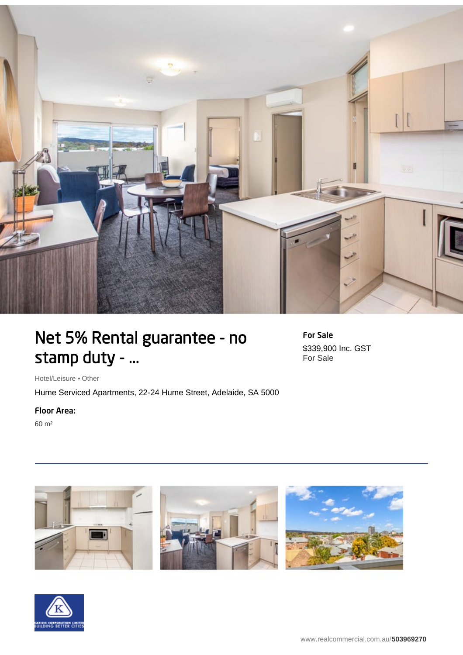

## Net 5% Rental guarantee - no stamp duty - ...

For Sale \$339,900 Inc. GST For Sale

Hotel/Leisure • Other

Hume Serviced Apartments, 22-24 Hume Street, Adelaide, SA 5000

## Floor Area:

60 m²